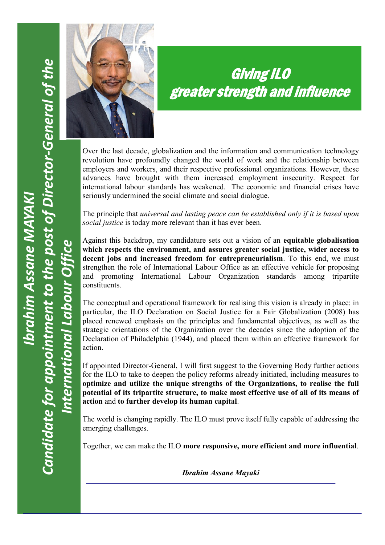*International Labour Office*

International Labour Office



# Giving ILO greater strength and influence

Over the last decade, globalization and the information and communication technology revolution have profoundly changed the world of work and the relationship between employers and workers, and their respective professional organizations. However, these advances have brought with them increased employment insecurity. Respect for international labour standards has weakened. The economic and financial crises have seriously undermined the social climate and social dialogue.

The principle that *universal and lasting peace can be established only if it is based upon social justice* is today more relevant than it has ever been.

Against this backdrop, my candidature sets out a vision of an **equitable globalisation which respects the environment, and assures greater social justice, wider access to decent jobs and increased freedom for entrepreneurialism**. To this end, we must strengthen the role of International Labour Office as an effective vehicle for proposing and promoting International Labour Organization standards among tripartite constituents.

The conceptual and operational framework for realising this vision is already in place: in particular, the ILO Declaration on Social Justice for a Fair Globalization (2008) has placed renewed emphasis on the principles and fundamental objectives, as well as the strategic orientations of the Organization over the decades since the adoption of the Declaration of Philadelphia (1944), and placed them within an effective framework for action.

If appointed Director-General, I will first suggest to the Governing Body further actions for the ILO to take to deepen the policy reforms already initiated, including measures to **optimize and utilize the unique strengths of the Organizations, to realise the full potential of its tripartite structure, to make most effective use of all of its means of action** and **to further develop its human capital**.

The world is changing rapidly. The ILO must prove itself fully capable of addressing the emerging challenges.

Together, we can make the ILO **more responsive, more efficient and more influential**.

*Ibrahim Assane Mayaki*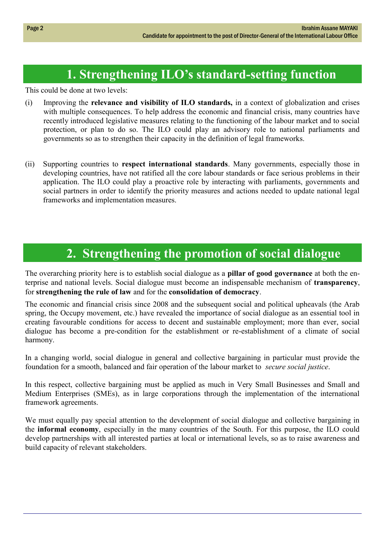# **1. Strengthening ILO's standard-setting function**

This could be done at two levels:

- (i) Improving the **relevance and visibility of ILO standards,** in a context of globalization and crises with multiple consequences. To help address the economic and financial crisis, many countries have recently introduced legislative measures relating to the functioning of the labour market and to social protection, or plan to do so. The ILO could play an advisory role to national parliaments and governments so as to strengthen their capacity in the definition of legal frameworks.
- (ii) Supporting countries to **respect international standards**. Many governments, especially those in developing countries, have not ratified all the core labour standards or face serious problems in their application. The ILO could play a proactive role by interacting with parliaments, governments and social partners in order to identify the priority measures and actions needed to update national legal frameworks and implementation measures.

#### **2. Strengthening the promotion of social dialogue**

The overarching priority here is to establish social dialogue as a **pillar of good governance** at both the enterprise and national levels. Social dialogue must become an indispensable mechanism of **transparency**, for **strengthening the rule of law** and for the **consolidation of democracy**.

The economic and financial crisis since 2008 and the subsequent social and political upheavals (the Arab spring, the Occupy movement, etc.) have revealed the importance of social dialogue as an essential tool in creating favourable conditions for access to decent and sustainable employment; more than ever, social dialogue has become a pre-condition for the establishment or re-establishment of a climate of social harmony.

In a changing world, social dialogue in general and collective bargaining in particular must provide the foundation for a smooth, balanced and fair operation of the labour market to *secure social justice*.

In this respect, collective bargaining must be applied as much in Very Small Businesses and Small and Medium Enterprises (SMEs), as in large corporations through the implementation of the international framework agreements.

We must equally pay special attention to the development of social dialogue and collective bargaining in the **informal economy**, especially in the many countries of the South. For this purpose, the ILO could develop partnerships with all interested parties at local or international levels, so as to raise awareness and build capacity of relevant stakeholders.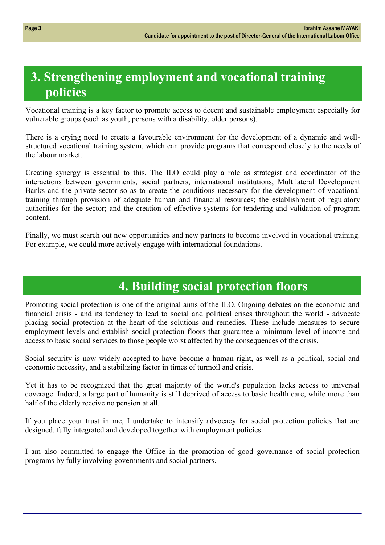# **3. Strengthening employment and vocational training policies**

Vocational training is a key factor to promote access to decent and sustainable employment especially for vulnerable groups (such as youth, persons with a disability, older persons).

There is a crying need to create a favourable environment for the development of a dynamic and wellstructured vocational training system, which can provide programs that correspond closely to the needs of the labour market.

Creating synergy is essential to this. The ILO could play a role as strategist and coordinator of the interactions between governments, social partners, international institutions, Multilateral Development Banks and the private sector so as to create the conditions necessary for the development of vocational training through provision of adequate human and financial resources; the establishment of regulatory authorities for the sector; and the creation of effective systems for tendering and validation of program content.

Finally, we must search out new opportunities and new partners to become involved in vocational training. For example, we could more actively engage with international foundations.

# **4. Building social protection floors**

Promoting social protection is one of the original aims of the ILO. Ongoing debates on the economic and financial crisis - and its tendency to lead to social and political crises throughout the world - advocate placing social protection at the heart of the solutions and remedies. These include measures to secure employment levels and establish social protection floors that guarantee a minimum level of income and access to basic social services to those people worst affected by the consequences of the crisis.

Social security is now widely accepted to have become a human right, as well as a political, social and economic necessity, and a stabilizing factor in times of turmoil and crisis.

Yet it has to be recognized that the great majority of the world's population lacks access to universal coverage. Indeed, a large part of humanity is still deprived of access to basic health care, while more than half of the elderly receive no pension at all.

If you place your trust in me, I undertake to intensify advocacy for social protection policies that are designed, fully integrated and developed together with employment policies.

I am also committed to engage the Office in the promotion of good governance of social protection programs by fully involving governments and social partners.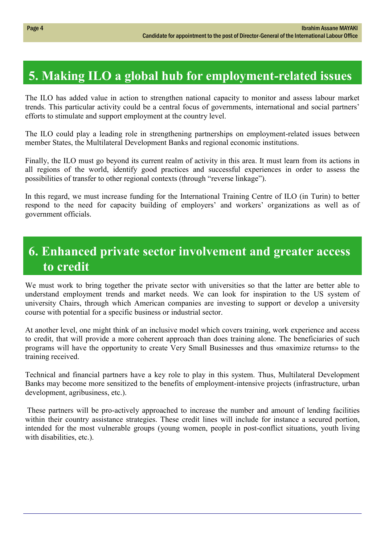# **5. Making ILO a global hub for employment-related issues**

The ILO has added value in action to strengthen national capacity to monitor and assess labour market trends. This particular activity could be a central focus of governments, international and social partners' efforts to stimulate and support employment at the country level.

The ILO could play a leading role in strengthening partnerships on employment-related issues between member States, the Multilateral Development Banks and regional economic institutions.

Finally, the ILO must go beyond its current realm of activity in this area. It must learn from its actions in all regions of the world, identify good practices and successful experiences in order to assess the possibilities of transfer to other regional contexts (through "reverse linkage").

In this regard, we must increase funding for the International Training Centre of ILO (in Turin) to better respond to the need for capacity building of employers' and workers' organizations as well as of government officials.

### **6. Enhanced private sector involvement and greater access to credit**

We must work to bring together the private sector with universities so that the latter are better able to understand employment trends and market needs. We can look for inspiration to the US system of university Chairs, through which American companies are investing to support or develop a university course with potential for a specific business or industrial sector.

At another level, one might think of an inclusive model which covers training, work experience and access to credit, that will provide a more coherent approach than does training alone. The beneficiaries of such programs will have the opportunity to create Very Small Businesses and thus «maximize returns» to the training received.

Technical and financial partners have a key role to play in this system. Thus, Multilateral Development Banks may become more sensitized to the benefits of employment-intensive projects (infrastructure, urban development, agribusiness, etc.).

These partners will be pro-actively approached to increase the number and amount of lending facilities within their country assistance strategies. These credit lines will include for instance a secured portion, intended for the most vulnerable groups (young women, people in post-conflict situations, youth living with disabilities, etc.).